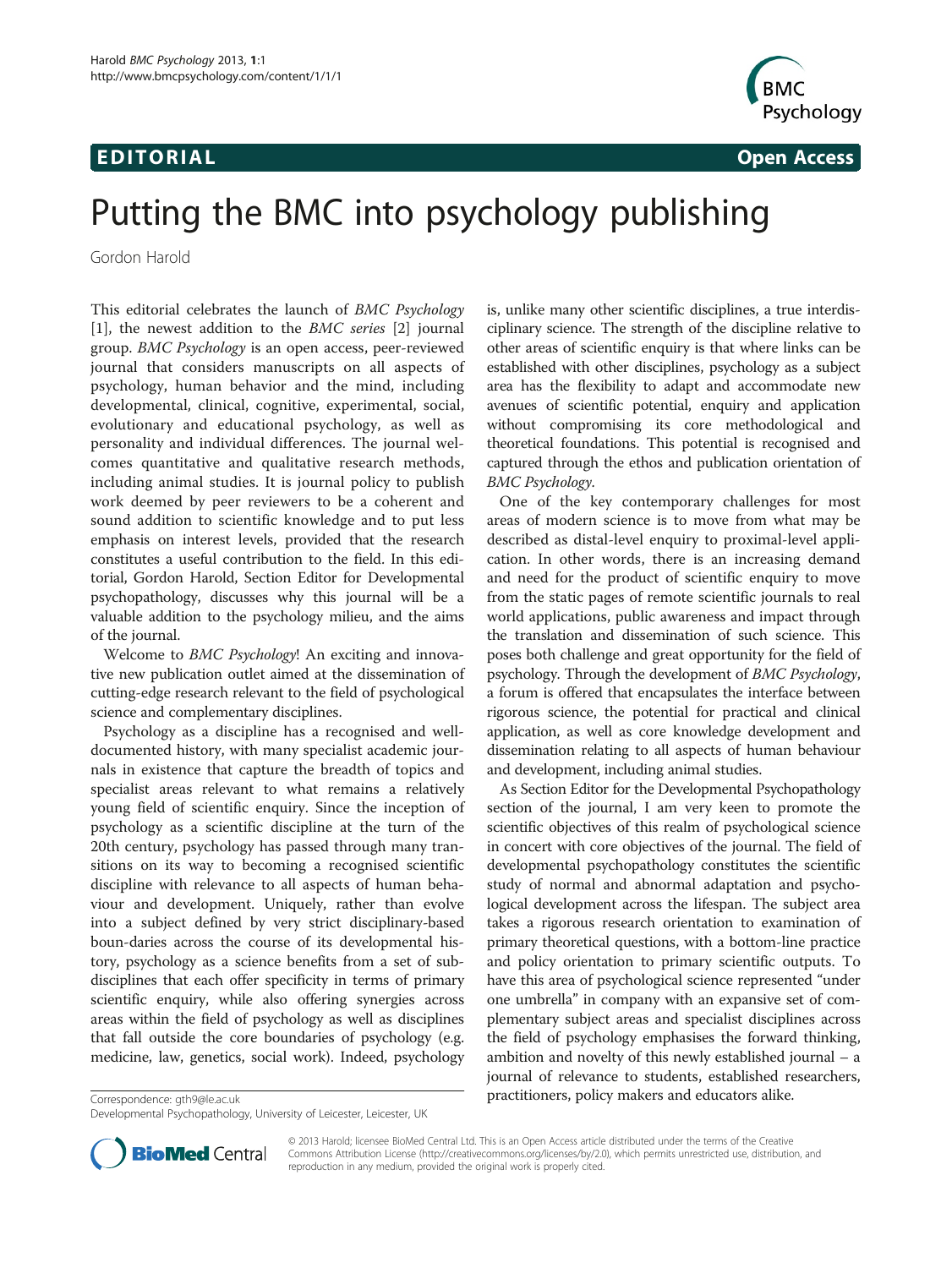# EDI TORIA L Open Access



Gordon Harold

This editorial celebrates the launch of BMC Psychology [[1\]](#page-1-0), the newest addition to the BMC series [[2\]](#page-1-0) journal group. BMC Psychology is an open access, peer-reviewed journal that considers manuscripts on all aspects of psychology, human behavior and the mind, including developmental, clinical, cognitive, experimental, social, evolutionary and educational psychology, as well as personality and individual differences. The journal welcomes quantitative and qualitative research methods, including animal studies. It is journal policy to publish work deemed by peer reviewers to be a coherent and sound addition to scientific knowledge and to put less emphasis on interest levels, provided that the research constitutes a useful contribution to the field. In this editorial, Gordon Harold, Section Editor for Developmental psychopathology, discusses why this journal will be a valuable addition to the psychology milieu, and the aims of the journal.

Welcome to BMC Psychology! An exciting and innovative new publication outlet aimed at the dissemination of cutting-edge research relevant to the field of psychological science and complementary disciplines.

Psychology as a discipline has a recognised and welldocumented history, with many specialist academic journals in existence that capture the breadth of topics and specialist areas relevant to what remains a relatively young field of scientific enquiry. Since the inception of psychology as a scientific discipline at the turn of the 20th century, psychology has passed through many transitions on its way to becoming a recognised scientific discipline with relevance to all aspects of human behaviour and development. Uniquely, rather than evolve into a subject defined by very strict disciplinary-based boun-daries across the course of its developmental history, psychology as a science benefits from a set of subdisciplines that each offer specificity in terms of primary scientific enquiry, while also offering synergies across areas within the field of psychology as well as disciplines that fall outside the core boundaries of psychology (e.g. medicine, law, genetics, social work). Indeed, psychology

is, unlike many other scientific disciplines, a true interdisciplinary science. The strength of the discipline relative to other areas of scientific enquiry is that where links can be established with other disciplines, psychology as a subject area has the flexibility to adapt and accommodate new avenues of scientific potential, enquiry and application without compromising its core methodological and theoretical foundations. This potential is recognised and captured through the ethos and publication orientation of BMC Psychology.

**BMC** 

Psychology

One of the key contemporary challenges for most areas of modern science is to move from what may be described as distal-level enquiry to proximal-level application. In other words, there is an increasing demand and need for the product of scientific enquiry to move from the static pages of remote scientific journals to real world applications, public awareness and impact through the translation and dissemination of such science. This poses both challenge and great opportunity for the field of psychology. Through the development of BMC Psychology, a forum is offered that encapsulates the interface between rigorous science, the potential for practical and clinical application, as well as core knowledge development and dissemination relating to all aspects of human behaviour and development, including animal studies.

As Section Editor for the Developmental Psychopathology section of the journal, I am very keen to promote the scientific objectives of this realm of psychological science in concert with core objectives of the journal. The field of developmental psychopathology constitutes the scientific study of normal and abnormal adaptation and psychological development across the lifespan. The subject area takes a rigorous research orientation to examination of primary theoretical questions, with a bottom-line practice and policy orientation to primary scientific outputs. To have this area of psychological science represented "under one umbrella" in company with an expansive set of complementary subject areas and specialist disciplines across the field of psychology emphasises the forward thinking, ambition and novelty of this newly established journal – a journal of relevance to students, established researchers, Correspondence: [gth9@le.ac.uk](mailto:gth9@le.ac.uk) **practitioners**, policy makers and educators alike.



© 2013 Harold; licensee BioMed Central Ltd. This is an Open Access article distributed under the terms of the Creative Commons Attribution License [\(http://creativecommons.org/licenses/by/2.0\)](http://creativecommons.org/licenses/by/2.0), which permits unrestricted use, distribution, and reproduction in any medium, provided the original work is properly cited.

Developmental Psychopathology, University of Leicester, Leicester, UK